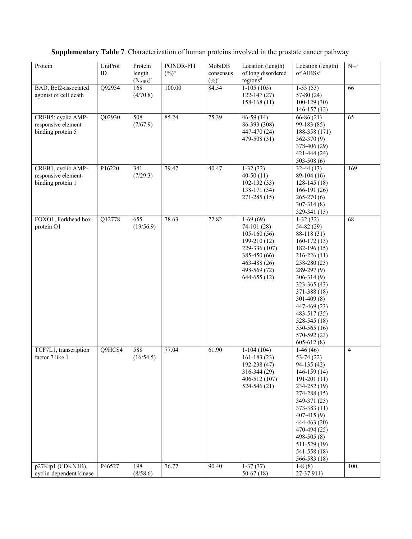## **Supplementary Table 7**. Characterization of human proteins involved in the prostate cancer pathway

| Protein                 | UniProt | Protein          | PONDR-FIT         | MobiDB    | Location (length)    | Location (length)     | $N_{int}$ <sup>f</sup> |
|-------------------------|---------|------------------|-------------------|-----------|----------------------|-----------------------|------------------------|
|                         | ID      | length           | $(\frac{9}{6})^b$ | consensus | of long disordered   | of AIBSs <sup>e</sup> |                        |
|                         |         | $(N_{AIBS})^a$   |                   | $(\%)^c$  | regions <sup>d</sup> |                       |                        |
| BAD, Bcl2-associated    | Q92934  | 168              | 100.00            | 84.54     | $1-105(105)$         | $1-53(53)$            | 66                     |
| agonist of cell death   |         | (4/70.8)         |                   |           | $122 - 147(27)$      | $57-80(24)$           |                        |
|                         |         |                  |                   |           | $158-168(11)$        | $100-129(30)$         |                        |
|                         |         |                  |                   |           |                      |                       |                        |
|                         |         |                  |                   |           |                      | $146-157(12)$         |                        |
| CREB5; cyclic AMP-      | Q02930  | 508              | 85.24             | 75.39     | $46-59(14)$          | $66-86(21)$           | 65                     |
| responsive element      |         | (7/67.9)         |                   |           | 86-393 (308)         | $99-183(85)$          |                        |
| binding protein 5       |         |                  |                   |           | 447-470 (24)         | 188-358 (171)         |                        |
|                         |         |                  |                   |           | 479-508 (31)         | $362 - 370(9)$        |                        |
|                         |         |                  |                   |           |                      | 378-406 (29)          |                        |
|                         |         |                  |                   |           |                      | 421-444 (24)          |                        |
|                         |         |                  |                   |           |                      | 503-508 $(6)$         |                        |
| CREB1, cyclic AMP-      | P16220  | $\overline{341}$ | 79.47             | 40.47     | $1-32(32)$           | $32-44(13)$           | 169                    |
| responsive element-     |         | (7/29.3)         |                   |           | $40-50(11)$          | $89-104(16)$          |                        |
| binding protein 1       |         |                  |                   |           | $102 - 132(33)$      | $128-145(18)$         |                        |
|                         |         |                  |                   |           | 138-171 (34)         | $166-191(26)$         |                        |
|                         |         |                  |                   |           | $271 - 285(15)$      | $265-270(6)$          |                        |
|                         |         |                  |                   |           |                      | $307 - 314(8)$        |                        |
|                         |         |                  |                   |           |                      | 329-341 (13)          |                        |
| FOXO1, Forkhead box     | Q12778  | $\overline{655}$ | 78.63             | 72.82     | $1-69(69)$           | $1-32(32)$            | $\overline{68}$        |
| protein O1              |         | (19/56.9)        |                   |           | $74-101(28)$         | 54-82 (29)            |                        |
|                         |         |                  |                   |           | $105-160(56)$        | 88-118 (31)           |                        |
|                         |         |                  |                   |           |                      |                       |                        |
|                         |         |                  |                   |           | 199-210 (12)         | $160-172(13)$         |                        |
|                         |         |                  |                   |           | 229-336 (107)        | $182-196(15)$         |                        |
|                         |         |                  |                   |           | 385-450 (66)         | $216 - 226(11)$       |                        |
|                         |         |                  |                   |           | 463-488 (26)         | 258-280 (23)          |                        |
|                         |         |                  |                   |           | 498-569 (72)         | $289-297(9)$          |                        |
|                         |         |                  |                   |           | 644-655 (12)         | $306 - 314(9)$        |                        |
|                         |         |                  |                   |           |                      | $323 - 365(43)$       |                        |
|                         |         |                  |                   |           |                      | 371-388 (18)          |                        |
|                         |         |                  |                   |           |                      | $301-409(8)$          |                        |
|                         |         |                  |                   |           |                      | 447-469 (23)          |                        |
|                         |         |                  |                   |           |                      | 483-517 (35)          |                        |
|                         |         |                  |                   |           |                      | $528 - 545(18)$       |                        |
|                         |         |                  |                   |           |                      | 550-565 (16)          |                        |
|                         |         |                  |                   |           |                      | 570-592 (23)          |                        |
|                         |         |                  |                   |           |                      | $605 - 612(8)$        |                        |
| TCF7L1, transcription   | Q9HCS4  | 588              | 77.04             | 61.90     | $1-104(104)$         | $1-46(46)$            | 4                      |
| factor 7 like 1         |         | (16/54.5)        |                   |           | $161-183(23)$        | $53-74(22)$           |                        |
|                         |         |                  |                   |           | 192-238 (47)         | $94-135(42)$          |                        |
|                         |         |                  |                   |           | 316-344 (29)         | $146-159(14)$         |                        |
|                         |         |                  |                   |           | 406-512 (107)        | $191-201(11)$         |                        |
|                         |         |                  |                   |           | 524-546 (21)         | 234-252 (19)          |                        |
|                         |         |                  |                   |           |                      | 274-288 (15)          |                        |
|                         |         |                  |                   |           |                      | 349-371 (23)          |                        |
|                         |         |                  |                   |           |                      |                       |                        |
|                         |         |                  |                   |           |                      | 373-383 (11)          |                        |
|                         |         |                  |                   |           |                      | 407-415 (9)           |                        |
|                         |         |                  |                   |           |                      | 444-463 (20)          |                        |
|                         |         |                  |                   |           |                      | 470-494 (25)          |                        |
|                         |         |                  |                   |           |                      | 498-505 $(8)$         |                        |
|                         |         |                  |                   |           |                      | 511-529 (19)          |                        |
|                         |         |                  |                   |           |                      | 541-558 (18)          |                        |
|                         |         |                  |                   |           |                      | 566-583 (18)          |                        |
| p27Kip1 (CDKN1B),       | P46527  | 198              | 76.77             | 90.40     | $1-37(37)$           | $1-8(8)$              | 100                    |
| cyclin-dependent kinase |         | (8/58.6)         |                   |           | 50-67 $(18)$         | 27-37 911)            |                        |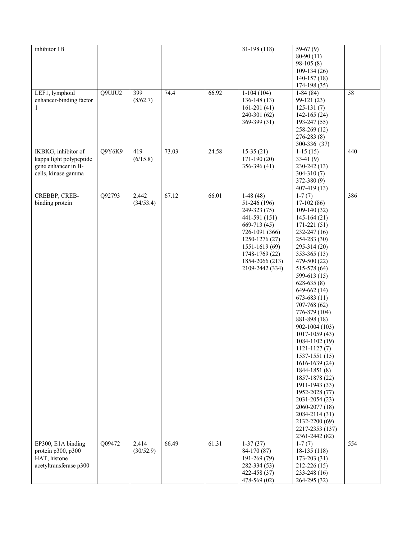| inhibitor 1B                                                                                           |                    |       |       | 81-198 (118)                                                                                                                                                                               | $59-67(9)$<br>80-90 (11)<br>$98-105(8)$<br>$109-134(26)$<br>$140-157(18)$<br>174-198 (35)                                                                                                                                                                                                                                                                                                                                                                                                                                                                                                             |     |
|--------------------------------------------------------------------------------------------------------|--------------------|-------|-------|--------------------------------------------------------------------------------------------------------------------------------------------------------------------------------------------|-------------------------------------------------------------------------------------------------------------------------------------------------------------------------------------------------------------------------------------------------------------------------------------------------------------------------------------------------------------------------------------------------------------------------------------------------------------------------------------------------------------------------------------------------------------------------------------------------------|-----|
| Q9UJU2<br>LEF1, lymphoid<br>enhancer-binding factor<br>1                                               | 399<br>(8/62.7)    | 74.4  | 66.92 | $1-104(104)$<br>$136-148(13)$<br>$161-201(41)$<br>240-301 (62)<br>369-399 (31)                                                                                                             | $1-84(84)$<br>99-121 (23)<br>$125-131(7)$<br>$142 - 165(24)$<br>193-247 (55)<br>258-269 (12)<br>$276 - 283(8)$<br>300-336 (37)                                                                                                                                                                                                                                                                                                                                                                                                                                                                        | 58  |
| IKBKG, inhibitor of<br>Q9Y6K9<br>kappa light polypeptide<br>gene enhancer in B-<br>cells, kinase gamma | 419<br>(6/15.8)    | 73.03 | 24.58 | $15-35(21)$<br>$171-190(20)$<br>356-396 (41)                                                                                                                                               | $\overline{1}$ -15 (15)<br>$33-41(9)$<br>230-242 (13)<br>$304 - 310(7)$<br>372-380 (9)<br>407-419 (13)                                                                                                                                                                                                                                                                                                                                                                                                                                                                                                | 440 |
| Q92793<br>CREBBP, CREB-<br>binding protein                                                             | 2,442<br>(34/53.4) | 67.12 | 66.01 | $1-48(48)$<br>51-246 (196)<br>249-323 (75)<br>441-591 (151)<br>$669-713(45)$<br>726-1091 (366)<br>1250-1276 (27)<br>1551-1619 (69)<br>1748-1769 (22)<br>1854-2066 (213)<br>2109-2442 (334) | $1-7(7)$<br>$17-102(86)$<br>$109-140(32)$<br>$145-164(21)$<br>$171 - 221(51)$<br>232-247 (16)<br>254-283 (30)<br>295-314 (20)<br>$353-365(13)$<br>479-500 (22)<br>515-578 (64)<br>599-613 (15)<br>$628-635(8)$<br>649-662 (14)<br>$673-683(11)$<br>707-768 (62)<br>776-879 (104)<br>881-898 (18)<br>902-1004 (103)<br>1017-1059 (43)<br>1084-1102 (19)<br>$1121 - 1127(7)$<br>1537-1551 (15)<br>1616-1639 (24)<br>$1844 - 1851(8)$<br>1857-1878 (22)<br>1911-1943 (33)<br>1952-2028 (77)<br>2031-2054 (23)<br>2060-2077 (18)<br>2084-2114 (31)<br>2132-2200 (69)<br>2217-2353 (137)<br>2361-2442 (82) | 386 |
| EP300, E1A binding<br>Q09472<br>protein p300, p300<br>HAT, histone                                     | 2,414<br>(30/52.9) | 66.49 | 61.31 | $1-37(37)$<br>84-170 (87)<br>191-269 (79)                                                                                                                                                  | $\overline{1}$ -7 $(7)$<br>$18-135(118)$<br>$173 - 203(31)$                                                                                                                                                                                                                                                                                                                                                                                                                                                                                                                                           | 554 |
| acetyltransferase p300                                                                                 |                    |       |       | 282-334 (53)<br>422-458 (37)<br>478-569 (02)                                                                                                                                               | $212 - 226(15)$<br>233-248 (16)<br>264-295 (32)                                                                                                                                                                                                                                                                                                                                                                                                                                                                                                                                                       |     |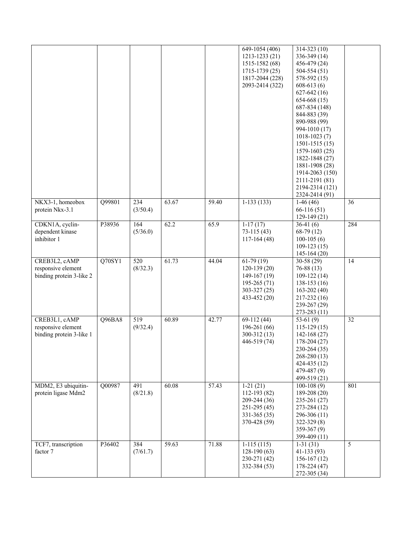|                                                                 |        |                              |       |       | 649-1054 (406)<br>1213-1233 (21)<br>1515-1582 (68)<br>$1715 - 1739(25)$<br>1817-2044 (228)<br>2093-2414 (322) | $314 - 323(10)$<br>336-349 (14)<br>456-479 (24)<br>$504 - 554(51)$<br>$578-592(15)$<br>$608-613(6)$<br>$627-642(16)$<br>$654-668(15)$<br>687-834 (148)<br>844-883 (39)<br>890-988 (99)<br>994-1010 (17)<br>$1018 - 1023(7)$<br>$1501 - 1515(15)$<br>1579-1603 (25)<br>1822-1848 (27)<br>1881-1908 (28)<br>1914-2063 (150)<br>2111-2191 (81)<br>2194-2314 (121)<br>2324-2414 (91) |     |
|-----------------------------------------------------------------|--------|------------------------------|-------|-------|---------------------------------------------------------------------------------------------------------------|----------------------------------------------------------------------------------------------------------------------------------------------------------------------------------------------------------------------------------------------------------------------------------------------------------------------------------------------------------------------------------|-----|
| NKX3-1, homeobox<br>protein Nkx-3.1                             | Q99801 | 234<br>(3/50.4)              | 63.67 | 59.40 | $1-133(133)$                                                                                                  | $1-46(46)$<br>$66-116(51)$<br>$129-149(21)$                                                                                                                                                                                                                                                                                                                                      | 36  |
| CDKN1A, cyclin-<br>dependent kinase<br>inhibitor 1              | P38936 | 164<br>(5/36.0)              | 62.2  | 65.9  | $1-17(17)$<br>$73-115(43)$<br>$117-164(48)$                                                                   | $36-41(6)$<br>$68-79(12)$<br>$100-105(6)$<br>$109-123(15)$<br>$145-164(20)$                                                                                                                                                                                                                                                                                                      | 284 |
| CREB3L2, cAMP<br>responsive element<br>binding protein 3-like 2 | Q70SY1 | $\overline{520}$<br>(8/32.3) | 61.73 | 44.04 | $61-79(19)$<br>$120-139(20)$<br>$149-167(19)$<br>$195-265(71)$<br>$303 - 327(25)$<br>433-452 (20)             | $30-58(29)$<br>$76 - 88(13)$<br>$109-122(14)$<br>$138-153(16)$<br>$163 - 202(40)$<br>$217 - 232(16)$<br>239-267 (29)<br>$273 - 283(11)$                                                                                                                                                                                                                                          | 14  |
| CREB3L1, cAMP<br>responsive element<br>binding protein 3-like 1 | Q96BA8 | 519<br>(9/32.4)              | 60.89 | 42.77 | $69-112(44)$<br>$196-261(66)$<br>$300-312(13)$<br>446-519 (74)                                                | 53-61 $(9)$<br>$115-129(15)$<br>$142 - 168(27)$<br>$178-204(27)$<br>230-264 (35)<br>268-280 (13)<br>424-435 (12)<br>$479 - 487(9)$<br>499-519 (21)                                                                                                                                                                                                                               | 32  |
| MDM2, E3 ubiquitin-<br>protein ligase Mdm2                      | Q00987 | 491<br>(8/21.8)              | 60.08 | 57.43 | $1-21(21)$<br>112-193 (82)<br>209-244 (36)<br>$251-295(45)$<br>331-365 (35)<br>370-428 (59)                   | $100-108(9)$<br>189-208 (20)<br>235-261 (27)<br>273-284 (12)<br>$296-306(11)$<br>$322 - 329(8)$<br>$359-367(9)$<br>399-409 (11)                                                                                                                                                                                                                                                  | 801 |
| TCF7, transcription<br>factor 7                                 | P36402 | 384<br>(7/61.7)              | 59.63 | 71.88 | $1-115(115)$<br>$128-190(63)$<br>230-271 (42)<br>332-384 (53)                                                 | $1-31(31)$<br>$41-133(93)$<br>$156-167(12)$<br>$178 - 224(47)$<br>272-305 (34)                                                                                                                                                                                                                                                                                                   | 5   |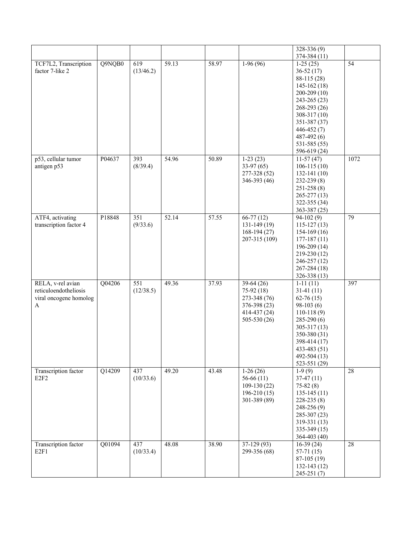|                                                                           |        |                  |       |       |                                                                                               | $328 - 336(9)$<br>374-384 (11)                                                                                                                                                                                 |      |
|---------------------------------------------------------------------------|--------|------------------|-------|-------|-----------------------------------------------------------------------------------------------|----------------------------------------------------------------------------------------------------------------------------------------------------------------------------------------------------------------|------|
| TCF7L2, Transcription<br>factor 7-like 2                                  | Q9NQB0 | 619<br>(13/46.2) | 59.13 | 58.97 | $1-96(96)$                                                                                    | $1-25(25)$<br>$36-52(17)$<br>88-115 (28)<br>$145-162(18)$<br>$200-209(10)$<br>243-265 (23)<br>268-293 (26)<br>$308 - 317(10)$<br>351-387 (37)<br>446-452 (7)<br>$487 - 492(6)$<br>531-585 (55)<br>596-619 (24) | 54   |
| p53, cellular tumor<br>antigen p53                                        | P04637 | 393<br>(8/39.4)  | 54.96 | 50.89 | $1-23(23)$<br>$33-97(65)$<br>277-328 (52)<br>346-393 (46)                                     | $11-57(47)$<br>$106-115(10)$<br>$132 - 141(10)$<br>$232 - 239(8)$<br>$251 - 258(8)$<br>$265 - 277(13)$<br>322-355 (34)<br>$363 - 387(25)$                                                                      | 1072 |
| ATF4, activating<br>transcription factor 4                                | P18848 | 351<br>(9/33.6)  | 52.14 | 57.55 | $66-77(12)$<br>$131-149(19)$<br>$168-194(27)$<br>207-315 (109)                                | $94-102(9)$<br>$115-127(13)$<br>$154-169(16)$<br>$177 - 187(11)$<br>$196-209(14)$<br>219-230 (12)<br>246-257 (12)<br>$267 - 284(18)$<br>$326 - 338(13)$                                                        | 79   |
| RELA, v-rel avian<br>reticuloendotheliosis<br>viral oncogene homolog<br>A | Q04206 | 551<br>(12/38.5) | 49.36 | 37.93 | $39-64(26)$<br>75-92 (18)<br>273-348 (76)<br>376-398 (23)<br>$414 - 437(24)$<br>$505-530(26)$ | $1-11(11)$<br>$31-41(11)$<br>$62-76(15)$<br>$98-103(6)$<br>$110-118(9)$<br>$285-290(6)$<br>$305 - 317(13)$<br>350-380 (31)<br>398-414 (17)<br>433-483 (51)<br>492-504 (13)<br>523-551 (29)                     | 397  |
| Transcription factor<br>E <sub>2F<sub>2</sub></sub>                       | Q14209 | 437<br>(10/33.6) | 49.20 | 43.48 | $1-26(26)$<br>$56-66(11)$<br>$109-130(22)$<br>$196-210(15)$<br>301-389 (89)                   | $1-9(9)$<br>$37-47(11)$<br>$75 - 82(8)$<br>$135-145(11)$<br>$228 - 235(8)$<br>$248 - 256(9)$<br>285-307 (23)<br>319-331 (13)<br>$335-349(15)$<br>$364 - 403(40)$                                               | 28   |
| Transcription factor<br>E2F1                                              | Q01094 | 437<br>(10/33.4) | 48.08 | 38.90 | $37-129(93)$<br>299-356 (68)                                                                  | $16-39(24)$<br>$57-71(15)$<br>$87-105(19)$<br>$132 - 143(12)$<br>245-251 (7)                                                                                                                                   | 28   |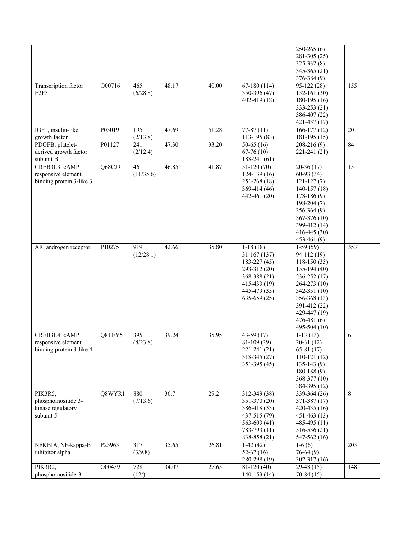|                                                                  |        |                              |       |       |                                                                                                                                     | $250-265(6)$<br>$281-305(25)$<br>$325 - 332(8)$<br>$345 - 365(21)$<br>$376 - 384(9)$                                                                                                                |     |
|------------------------------------------------------------------|--------|------------------------------|-------|-------|-------------------------------------------------------------------------------------------------------------------------------------|-----------------------------------------------------------------------------------------------------------------------------------------------------------------------------------------------------|-----|
| Transcription factor<br>E2F3                                     | O00716 | 465<br>(6/28.8)              | 48.17 | 40.00 | $67-180(114)$<br>350-396 (47)<br>$402 - 419(18)$                                                                                    | $95-122(28)$<br>$132 - 161(30)$<br>$180-195(16)$<br>$333 - 253(21)$<br>386-407 (22)<br>421-437 (17)                                                                                                 | 155 |
| IGF1, insulin-like<br>growth factor I                            | P05019 | 195<br>(2/13.8)              | 47.69 | 51.28 | $77-87(11)$<br>113-195 (83)                                                                                                         | $166-177(12)$<br>$181-195(15)$                                                                                                                                                                      | 20  |
| PDGFB, platelet-<br>derived growth factor<br>subunit B           | P01127 | 241<br>(2/12.4)              | 47.30 | 33.20 | $50-65(16)$<br>$67-76(10)$<br>$188-241(61)$                                                                                         | $208-216(9)$<br>221-241 (21)                                                                                                                                                                        | 84  |
| CREB3L3, cAMP<br>responsive element<br>binding protein 3-like 3  | Q68CJ9 | 461<br>(11/35.6)             | 46.85 | 41.87 | $51-120(70)$<br>$124-139(16)$<br>$251-268(18)$<br>$369-414(46)$<br>442-461 (20)                                                     | $20-36(17)$<br>$60-93(34)$<br>$121 - 127(7)$<br>$140-157(18)$<br>$178-186(9)$<br>$198-204(7)$<br>$356-364(9)$<br>$367 - 376(10)$<br>399-412 (14)<br>$416 - 445(30)$<br>$453-461(9)$                 | 15  |
| AR, androgen receptor                                            | P10275 | 919<br>(12/28.1)             | 42.66 | 35.80 | $1-18(18)$<br>$31-167(137)$<br>$183 - 227(45)$<br>293-312 (20)<br>$368 - 388(21)$<br>$415-433(19)$<br>445-479 (35)<br>$635-659(25)$ | $1-59(59)$<br>94-112 (19)<br>$118-150(33)$<br>$155-194(40)$<br>$236 - 252(17)$<br>264-273 (10)<br>342-351 (10)<br>$356 - 368(13)$<br>391-412 (22)<br>429-447 (19)<br>$476 - 481(6)$<br>495-504 (10) | 353 |
| CREB3L4, cAMP<br>responsive element<br>binding protein 3-like 4  | Q8TEY5 | $\overline{395}$<br>(8/23.8) | 39.24 | 35.95 | $43-59(17)$<br>$81-109(29)$<br>221-241 (21)<br>318-345 (27)<br>$351-395(45)$                                                        | $1-13(13)$<br>$20-31(12)$<br>$65-81(17)$<br>$110-121(12)$<br>$135-143(9)$<br>$180-188(9)$<br>368-377 (10)<br>384-395 (12)                                                                           | 6   |
| PIK3R5,<br>phosphoinositide 3-<br>kinase regulatory<br>subunit 5 | Q8WYR1 | 880<br>(7/13.6)              | 36.7  | 29.2  | $312 - 349(38)$<br>351-370 (20)<br>386-418 (33)<br>437-515 (79)<br>563-603 $(41)$<br>783-793 (11)<br>838-858 (21)                   | 339-364 (26)<br>371-387 (17)<br>$420 - 435(16)$<br>$451 - 463(13)$<br>$485-495(11)$<br>$516-536(21)$<br>547-562 (16)                                                                                | 8   |
| NFKBIA, NF-kappa-B<br>inhibitor alpha                            | P25963 | 317<br>(3/9.8)               | 35.65 | 26.81 | $1-42(42)$<br>$52-67(16)$<br>280-298 (19)                                                                                           | $\overline{1-6}$ (6)<br>$76-64(9)$<br>$302 - 317(16)$                                                                                                                                               | 203 |
| PIK3R2,<br>phosphoinositide-3-                                   | O00459 | 728<br>(12/)                 | 34.07 | 27.65 | $81-120(40)$<br>$140-153(14)$                                                                                                       | $29-43(15)$<br>$70-84(15)$                                                                                                                                                                          | 148 |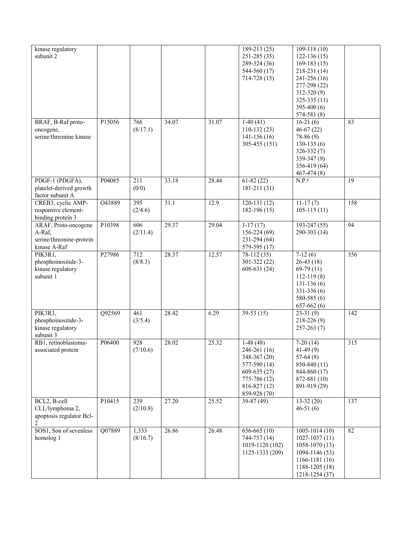| kinase regulatory<br>subunit 2                                             |        |                   |       |       | 189-213 (25)<br>$251 - 285(35)$<br>289-324 (36)<br>544-560 (17)<br>$714 - 728(15)$                                             | $109-118(10)$<br>$122 - 136(15)$<br>$169-183(15)$<br>218-231 (14)<br>241-256 (16)<br>277-298 (22)<br>$312 - 320(9)$<br>$325 - 335(11)$<br>$395-400(6)$<br>574-581 (8) |     |
|----------------------------------------------------------------------------|--------|-------------------|-------|-------|--------------------------------------------------------------------------------------------------------------------------------|-----------------------------------------------------------------------------------------------------------------------------------------------------------------------|-----|
| BRAF, B-Raf proto-<br>oncogene,<br>serine/threonine kinase                 | P15056 | 766<br>(8/17.1)   | 34.07 | 31.07 | $1-40(41)$<br>$110-132(23)$<br>$141-156(16)$<br>305-455 (151)                                                                  | $16-21(6)$<br>$46-67(22)$<br>78-86 (9)<br>$130-135(6)$<br>$326 - 332(7)$<br>$339-347(9)$<br>356-419 (64)<br>$467 - 474(8)$                                            | 83  |
| PDGF-1 (PDGFA),<br>platelet-derived growth<br>factor subunit A             | P04085 | 211<br>(0/0)      | 33.18 | 28.44 | $61-82(22)$<br>$181 - 211(31)$                                                                                                 | $N.P.$ <sup>g</sup>                                                                                                                                                   | 19  |
| CREB3, cyclic AMP-<br>responsive element-<br>binding protein 3             | O43889 | 395<br>(2/4.6)    | 31.1  | 12.9  | $120-131(12)$<br>$182-196(15)$                                                                                                 | $11-17(7)$<br>$105 - 115(11)$                                                                                                                                         | 158 |
| ARAF, Proto-oncogene<br>A-Raf,<br>serine/threonine-protein<br>kinase A-Raf | P10398 | 606<br>(2/11.4)   | 29.37 | 29.04 | $\overline{1-17}$ (17)<br>156-224 (69)<br>231-294 (64)<br>579-595 (17)                                                         | $193 - 247(55)$<br>290-303 (14)                                                                                                                                       | 94  |
| PIK3R1,<br>phosphoinositide-3-<br>kinase regulatory<br>subunit 1           | P27986 | 712<br>(8/8.3)    | 28.37 | 12.57 | $78-112(35)$<br>301-322 (22)<br>$608-631(24)$                                                                                  | $7-12(6)$<br>$26-43(18)$<br>$69-79(11)$<br>$112 - 119(8)$<br>$131-136(6)$<br>331-336 (6)<br>$580 - 585(6)$<br>$657-662(6)$                                            | 356 |
| PIK3R3,<br>phosphoinositide-3-<br>kinase regulatory<br>subunit 3           | Q92569 | 461<br>(3/5.4)    | 28.42 | 6.29  | $39-53(15)$                                                                                                                    | $23-31(9)$<br>$218 - 226(9)$<br>$257 - 263(7)$                                                                                                                        | 142 |
| RB1, retinoblastoma-<br>associated protein                                 | P06400 | 928<br>(7/10.6)   | 28.02 | 25.32 | $1-48(48)$<br>246-261 (16)<br>348-367 (20)<br>577-590 (14)<br>$609-635(27)$<br>775-786 (12)<br>$816 - 827(12)$<br>859-928 (70) | $7-20(14)$<br>$41-49(9)$<br>$57-64(8)$<br>830-840 (11)<br>844-860 (17)<br>872-881 (10)<br>891-919 (29)                                                                | 315 |
| BCL2, B-cell<br>CLL/lymphoma 2,<br>apoptosis regulator Bcl-<br>2           | P10415 | 239<br>(2/10.9)   | 27.20 | 25.52 | 39-87 (49)                                                                                                                     | $13-32(20)$<br>$46-51(6)$                                                                                                                                             | 137 |
| SOS1, Son of sevenless<br>homolog <sub>1</sub>                             | Q07889 | 1,333<br>(8/16.7) | 26.86 | 26.48 | $656-665(10)$<br>744-757 (14)<br>1019-1120 (102)<br>1125-1333 (209)                                                            | $1005 - 1014(10)$<br>$1027 - 1037(11)$<br>1058-1070 (13)<br>1094-1146 (53)<br>1166-1181 (16)<br>1188-1205 (18)<br>1218-1254 (37)                                      | 82  |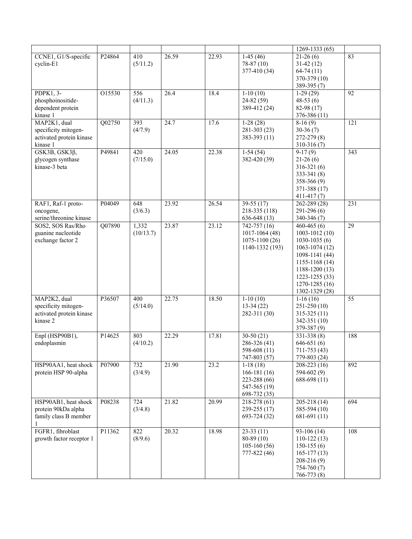|                                                                              |        |                    |       |       |                                                                              | 1269-1333 (65)                                                                                                                                                                           |                  |
|------------------------------------------------------------------------------|--------|--------------------|-------|-------|------------------------------------------------------------------------------|------------------------------------------------------------------------------------------------------------------------------------------------------------------------------------------|------------------|
| CCNE1, G1/S-specific<br>cyclin-E1                                            | P24864 | 410<br>(5/11.2)    | 26.59 | 22.93 | $1-45(46)$<br>$78-87(10)$<br>377-410 (34)                                    | $21-26(6)$<br>$31-42(12)$<br>$64-74(11)$<br>370-379 (10)<br>389-395 (7)                                                                                                                  | 83               |
| PDPK1, 3-<br>phosphoinositide-<br>dependent protein<br>kinase 1              | O15530 | 556<br>(4/11.3)    | 26.4  | 18.4  | $1-10(10)$<br>24-82 (59)<br>389-412 (24)                                     | $1-29(29)$<br>$48-53(6)$<br>82-98 (17)<br>376-386 (11)                                                                                                                                   | 92               |
| MAP2K1, dual<br>specificity mitogen-<br>activated protein kinase<br>kinase 1 | Q02750 | 393<br>(4/7.9)     | 24.7  | 17.6  | $1-28(28)$<br>$281-303(23)$<br>$383 - 393(11)$                               | $8-16(9)$<br>$30-36(7)$<br>272-279 (8)<br>$310-316(7)$                                                                                                                                   | 121              |
| GSK3B, GSK3ß,<br>glycogen synthase<br>kinase-3 beta                          | P49841 | 420<br>(7/15.0)    | 24.05 | 22.38 | $1-54(54)$<br>382-420 (39)                                                   | $9-17(9)$<br>$21-26(6)$<br>$316 - 321(6)$<br>$333-341(8)$<br>$358-366(9)$<br>371-388 (17)<br>$411 - 417(7)$                                                                              | $\overline{343}$ |
| RAF1, Raf-1 proto-<br>oncogene,<br>serine/threonine kinase                   | P04049 | 648<br>(3/6.3)     | 23.92 | 26.54 | $39-55(17)$<br>218-335 (118)<br>$636-648(13)$                                | 262-289 (28)<br>$291-296(6)$<br>340-346 (7)                                                                                                                                              | 231              |
| SOS2, SOS Ras/Rho<br>guanine nucleotide<br>exchange factor 2                 | Q07890 | 1,332<br>(10/13.7) | 23.87 | 23.12 | $742 - 757(16)$<br>$1017 - 1064(48)$<br>$1075 - 1100(26)$<br>1140-1332 (193) | $460 - 465(6)$<br>1003-1012 (10)<br>$1030 - 1035(6)$<br>$1063 - 1074(12)$<br>1098-1141 (44)<br>1155-1168 (14)<br>1188-1200 (13)<br>1223-1255 (33)<br>$1270 - 1285(16)$<br>1302-1329 (28) | 29               |
| MAP2K2, dual<br>specificity mitogen-<br>activated protein kinase<br>kinase 2 | P36507 | 400<br>(5/14.0)    | 22.75 | 18.50 | $1-10(10)$<br>$13-34(22)$<br>282-311 (30)                                    | $1-16(16)$<br>$251-250(10)$<br>$315 - 325(11)$<br>342-351 (10)<br>379-387 (9)                                                                                                            | 55               |
| Enpl (HSP90B1),<br>endoplasmin                                               | P14625 | 803<br>(4/10.2)    | 22.29 | 17.81 | $30-50(21)$<br>286-326 (41)<br>598-608 (11)<br>747-803 (57)                  | $331 - 338(8)$<br>$646-651(6)$<br>711-753 (43)<br>779-803 (24)                                                                                                                           | 188              |
| HSP90AA1, heat shock<br>protein HSP 90-alpha                                 | P07900 | 732<br>(3/4.9)     | 21.90 | 23.2  | $1-18(18)$<br>$166-181(16)$<br>223-288 (66)<br>547-565 (19)<br>698-732 (35)  | 208-223 (16)<br>$594-602(9)$<br>688-698 (11)                                                                                                                                             | 892              |
| HSP90AB1, heat shock<br>protein 90kDa alpha<br>family class B member         | P08238 | 724<br>(3/4.8)     | 21.82 | 20.99 | $218-278(61)$<br>239-255 (17)<br>693-724 (32)                                | $205 - 218(14)$<br>$585-594(10)$<br>$681-691(11)$                                                                                                                                        | 694              |
| FGFR1, fibroblast<br>growth factor receptor 1                                | P11362 | 822<br>(8/9.6)     | 20.32 | 18.98 | $23-33(11)$<br>$80-89(10)$<br>$105-160(56)$<br>777-822 (46)                  | $93-106(14)$<br>$110-122(13)$<br>$150-155(6)$<br>$165-177(13)$<br>$208-216(9)$<br>$754-760(7)$<br>766-773 (8)                                                                            | 108              |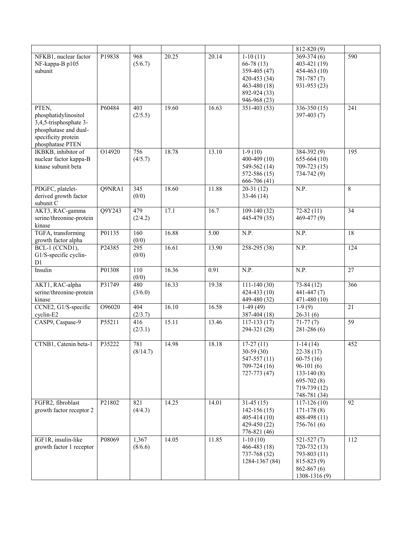|                                                                                                                             |        |                           |       |       |                                                                                                                 | 812-820 (9)                                                                                                                 |     |
|-----------------------------------------------------------------------------------------------------------------------------|--------|---------------------------|-------|-------|-----------------------------------------------------------------------------------------------------------------|-----------------------------------------------------------------------------------------------------------------------------|-----|
| NFKB1, nuclear factor<br>NF-kappa-B p105<br>subunit                                                                         | P19838 | 968<br>(5/6.7)            | 20.25 | 20.14 | $1-10(11)$<br>$66-78(13)$<br>359-405 (47)<br>$420 - 453(34)$<br>$463 - 480(18)$<br>892-924 (33)<br>946-968 (23) | $\overline{369-374(6)}$<br>403-421 (19)<br>454-463 (10)<br>$781 - 787(7)$<br>931-953 (23)                                   | 590 |
| PTEN,<br>phosphatidylinositol<br>3,4,5-trisphosphate 3-<br>phosphatase and dual-<br>specificity protein<br>phosphatase PTEN | P60484 | 403<br>(2/5.5)            | 19.60 | 16.63 | $351 - 403(53)$                                                                                                 | $336-350(15)$<br>397-403 (7)                                                                                                | 241 |
| IKBKB, inhibitor of<br>nuclear factor kappa-B<br>kinase subunit beta                                                        | O14920 | 756<br>(4/5.7)            | 18.78 | 13.10 | $1-9(10)$<br>$400-409(10)$<br>549-562 (14)<br>$572 - 586(15)$<br>666-706 (41)                                   | $384 - 392(9)$<br>$655-664(10)$<br>709-723 (15)<br>734-742 (9)                                                              | 195 |
| PDGFC, platelet-<br>derived growth factor<br>subunit C                                                                      | Q9NRA1 | $\overline{345}$<br>(0/0) | 18.60 | 11.88 | $20-31(12)$<br>$33-46(14)$                                                                                      | N.P.                                                                                                                        | 8   |
| AKT3, RAC-gamma<br>serine/threonine-protein<br>kinase                                                                       | Q9Y243 | 479<br>(2/4.2)            | 17.1  | 16.7  | $109-140(32)$<br>445-479 (35)                                                                                   | $72-82(11)$<br>469-477 (9)                                                                                                  | 34  |
| TGFA, transforming<br>growth factor alpha                                                                                   | P01135 | 160<br>(0/0)              | 16.88 | 5.00  | N.P.                                                                                                            | N.P.                                                                                                                        | 18  |
| BCL-1 (CCND1),<br>G1/S-specific cyclin-<br>D1                                                                               | P24385 | 295<br>(0/0)              | 16.61 | 13.90 | $258 - 295(38)$                                                                                                 | N.P.                                                                                                                        | 124 |
| Insulin                                                                                                                     | P01308 | 110<br>(0/0)              | 16.36 | 0.91  | N.P.                                                                                                            | N.P.                                                                                                                        | 27  |
| AKT1, RAC-alpha<br>serine/threonine-protein<br>kinase                                                                       | P31749 | 480<br>(3/6.0)            | 16.33 | 19.38 | $111 - 140(30)$<br>$424 - 433(10)$<br>449-480 (32)                                                              | $73-84(12)$<br>441-447 (7)<br>471-480 (10)                                                                                  | 366 |
| CCNE2, G1/S-specific<br>cyclin-E2                                                                                           | O96020 | 404<br>(2/3.7)            | 16.10 | 16.58 | $1-49(49)$<br>387-404 (18)                                                                                      | $1-9(9)$<br>$26-31(6)$                                                                                                      | 21  |
| CASP9, Caspase-9                                                                                                            | P55211 | 416<br>(2/3.1)            | 15.11 | 13.46 | $117-133(17)$<br>294-321 (28)                                                                                   | $71-77(7)$<br>$281 - 286(6)$                                                                                                | 59  |
| CTNB1, Catenin beta-1                                                                                                       | P35222 | 781<br>(8/14.7)           | 14.98 | 18.18 | $17-27(11)$<br>$30-59(30)$<br>547-557 (11)<br>709-724 (16)<br>$727 - 773(47)$                                   | $1-14(14)$<br>$22-38(17)$<br>$60-75(16)$<br>$96-101(6)$<br>$133 - 140(8)$<br>$695 - 702(8)$<br>719-739 (12)<br>748-781 (34) | 452 |
| FGFR2, fibroblast<br>growth factor receptor 2                                                                               | P21802 | 821<br>(4/4.3)            | 14.25 | 14.01 | $31-45(15)$<br>$142-156(15)$<br>$405 - 414(10)$<br>429-450 (22)<br>776-821 (46)                                 | $117 - 126(10)$<br>$171 - 178(8)$<br>488-498 (11)<br>756-761 (6)                                                            | 92  |
| IGF1R, insulin-like<br>growth factor 1 receptor                                                                             | P08069 | 1,367<br>(8/6.6)          | 14.05 | 11.85 | $1-10(10)$<br>$466 - 483(18)$<br>737-768 (32)<br>1284-1367 (84)                                                 | $521 - 527(7)$<br>$720 - 732(13)$<br>793-803 (11)<br>$815 - 823(9)$<br>$862 - 867(6)$<br>1308-1316 (9)                      | 112 |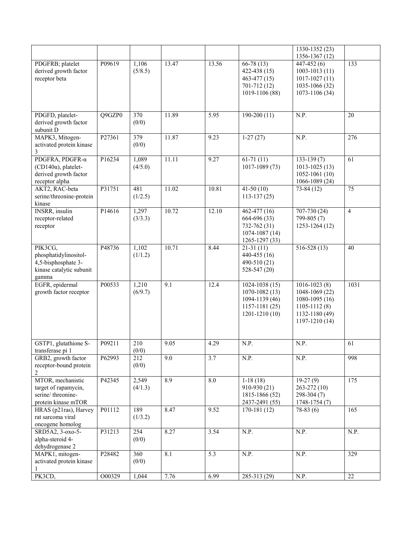|                                                                                              |        |                  |                  |       |                                                                                                    | 1330-1352 (23)<br>1356-1367 (12)                                                                             |                 |
|----------------------------------------------------------------------------------------------|--------|------------------|------------------|-------|----------------------------------------------------------------------------------------------------|--------------------------------------------------------------------------------------------------------------|-----------------|
| PDGFRB; platelet<br>derived growth factor<br>receptor beta                                   | P09619 | 1,106<br>(5/8.5) | 13.47            | 13.56 | $66-78(13)$<br>422-438 (15)<br>$463-477(15)$<br>701-712 (12)<br>1019-1106 (88)                     | $447 - 452(6)$<br>$1003 - 1013(11)$<br>$1017 - 1027(11)$<br>1035-1066 (32)<br>1073-1106 (34)                 | 133             |
| PDGFD, platelet-<br>derived growth factor<br>subunit D                                       | Q9GZP0 | 370<br>(0/0)     | 11.89            | 5.95  | $190-200(11)$                                                                                      | N.P.                                                                                                         | 20              |
| MAPK3, Mitogen-<br>activated protein kinase<br>3                                             | P27361 | 379<br>(0/0)     | 11.87            | 9.23  | $1-27(27)$                                                                                         | N.P.                                                                                                         | 276             |
| PDGFRA, PDGFR-α<br>$(CD140\alpha)$ , platelet-<br>derived growth factor<br>receptor alpha    | P16234 | 1,089<br>(4/5.0) | 11.11            | 9.27  | $61-71(11)$<br>1017-1089 (73)                                                                      | $133-139(7)$<br>$1013 - 1025(13)$<br>$1052 - 1061(10)$<br>1066-1089 (24)                                     | 61              |
| AKT2, RAC-beta<br>serine/threonine-protein<br>kinase                                         | P31751 | 481<br>(1/2.5)   | 11.02            | 10.81 | $41-50(10)$<br>$113-137(25)$                                                                       | $73-84(12)$                                                                                                  | $\overline{75}$ |
| <b>INSRR</b> , insulin<br>receptor-related<br>receptor                                       | P14616 | 1,297<br>(3/3.3) | 10.72            | 12.10 | $462 - 477(16)$<br>664-696 (33)<br>732-762 (31)<br>$1074 - 1087(14)$<br>1265-1297 (33)             | $707 - 730(24)$<br>799-805 (7)<br>1253-1264 (12)                                                             | $\overline{4}$  |
| PIK3CG,<br>phosphatidylinositol-<br>4,5-bisphosphate 3-<br>kinase catalytic subunit<br>gamma | P48736 | 1,102<br>(1/1.2) | 10.71            | 8.44  | $21-31(11)$<br>440-455 (16)<br>490-510 (21)<br>528-547 (20)                                        | $516 - 528(13)$                                                                                              | 40              |
| EGFR, epidermal<br>growth factor receptor                                                    | P00533 | 1,210<br>(6/9.7) | 9.1              | 12.4  | $1024 - 1038(15)$<br>$1070 - 1082(13)$<br>1094-1139 (46)<br>$1157 - 1181(25)$<br>$1201 - 1210(10)$ | $1016 - 1023(8)$<br>1048-1069 (22)<br>1080-1095 (16)<br>$1105 - 1112(8)$<br>1132-1180 (49)<br>1197-1210 (14) | 1031            |
| GSTP1, glutathione S-<br>transferase pi 1                                                    | P09211 | 210<br>(0/0)     | 9.05             | 4.29  | N.P.                                                                                               | N.P.                                                                                                         | 61              |
| GRB2, growth factor<br>receptor-bound protein<br>2                                           | P62993 | 212<br>(0/0)     | 9.0              | 3.7   | N.P.                                                                                               | N.P.                                                                                                         | 998             |
| MTOR, mechanistic<br>target of rapamycin,<br>serine/threonine-<br>protein kinase mTOR        | P42345 | 2,549<br>(4/1.3) | $\overline{8.9}$ | 8.0   | $1-18(18)$<br>910-930 (21)<br>1815-1866 (52)<br>2437-2491 (55)                                     | $19-27(9)$<br>$263 - 272(10)$<br>298-304 (7)<br>1748-1754 (7)                                                | 175             |
| HRAS (p21ras), Harvey<br>rat sarcoma viral<br>oncogene homolog                               | P01112 | 189<br>(1/3.2)   | 8.47             | 9.52  | $170-181(12)$                                                                                      | $78-83(6)$                                                                                                   | 165             |
| SRD5A2, 3-0x0-5-<br>alpha-steroid 4-<br>dehydrogenase 2                                      | P31213 | 254<br>(0/0)     | 8.27             | 3.54  | N.P.                                                                                               | N.P.                                                                                                         | N.P.            |
| MAPK1, mitogen-<br>activated protein kinase                                                  | P28482 | 360<br>(0/0)     | 8.1              | 5.3   | N.P.                                                                                               | N.P.                                                                                                         | 329             |
| PK3CD,                                                                                       | 000329 | 1,044            | 7.76             | 6.99  | $285-313(29)$                                                                                      | N.P.                                                                                                         | 22              |